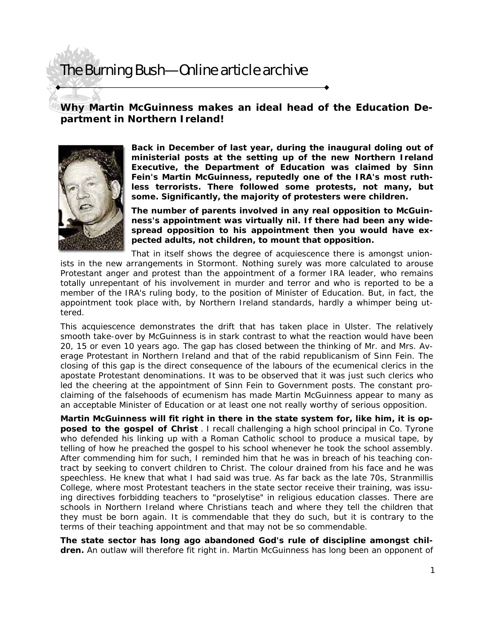## The Burning Bush—Online article archive

**Why Martin McGuinness makes an ideal head of the Education Department in Northern Ireland!** 



**Back in December of last year, during the inaugural doling out of ministerial posts at the setting up of the new Northern Ireland Executive, the Department of Education was claimed by Sinn Fein's Martin McGuinness, reputedly one of the IRA's most ruthless terrorists. There followed some protests, not many, but some. Significantly, the majority of protesters were children.** 

**The number of parents involved in any real opposition to McGuinness's appointment was virtually nil. If there had been any widespread opposition to his appointment then you would have expected adults, not children, to mount that opposition.** 

That in itself shows the degree of acquiescence there is amongst unionists in the new arrangements in Stormont. Nothing surely was more calculated to arouse Protestant anger and protest than the appointment of a former IRA leader, who remains totally unrepentant of his involvement in murder and terror and who is reported to be a member of the IRA's ruling body, to the position of Minister of Education. But, in fact, the appointment took place with, by Northern Ireland standards, hardly a whimper being uttered.

This acquiescence demonstrates the drift that has taken place in Ulster. The relatively smooth take-over by McGuinness is in stark contrast to what the reaction would have been 20, 15 or even 10 years ago. The gap has closed between the thinking of Mr. and Mrs. Average Protestant in Northern Ireland and that of the rabid republicanism of Sinn Fein. The closing of this gap is the direct consequence of the labours of the ecumenical clerics in the apostate Protestant denominations. It was to be observed that it was just such clerics who led the cheering at the appointment of Sinn Fein to Government posts. The constant proclaiming of the falsehoods of ecumenism has made Martin McGuinness appear to many as an acceptable Minister of Education or at least one not really worthy of serious opposition.

**Martin McGuinness will fit right in there in the state system for, like him, it is opposed to the gospel of Christ** . I recall challenging a high school principal in Co. Tyrone who defended his linking up with a Roman Catholic school to produce a musical tape, by telling of how he preached the gospel to his school whenever he took the school assembly. After commending him for such, I reminded him that he was in breach of his teaching contract by seeking to convert children to Christ. The colour drained from his face and he was speechless. He knew that what I had said was true. As far back as the late 70s, Stranmillis College, where most Protestant teachers in the state sector receive their training, was issuing directives forbidding teachers to "proselytise" in religious education classes. There are schools in Northern Ireland where Christians teach and where they tell the children that they must be born again. It is commendable that they do such, but it is contrary to the terms of their teaching appointment and that may not be so commendable.

**The state sector has long ago abandoned God's rule of discipline amongst children.** An outlaw will therefore fit right in. Martin McGuinness has long been an opponent of